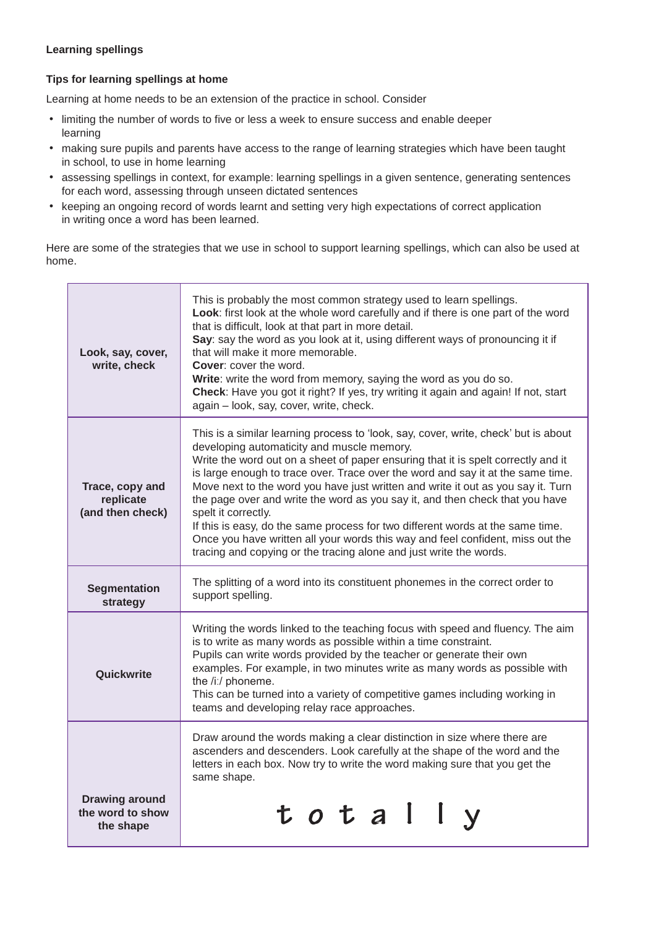## **Learning spellings**

## **Tips for learning spellings at home**

Learning at home needs to be an extension of the practice in school. Consider

- limiting the number of words to five or less a week to ensure success and enable deeper learning
- making sure pupils and parents have access to the range of learning strategies which have been taught in school, to use in home learning
- assessing spellings in context, for example: learning spellings in a given sentence, generating sentences for each word, assessing through unseen dictated sentences
- keeping an ongoing record of words learnt and setting very high expectations of correct application in writing once a word has been learned.

Here are some of the strategies that we use in school to support learning spellings, which can also be used at home.

| Look, say, cover,<br>write, check                      | This is probably the most common strategy used to learn spellings.<br>Look: first look at the whole word carefully and if there is one part of the word<br>that is difficult, look at that part in more detail.<br>Say: say the word as you look at it, using different ways of pronouncing it if<br>that will make it more memorable.<br><b>Cover:</b> cover the word.<br>Write: write the word from memory, saying the word as you do so.<br>Check: Have you got it right? If yes, try writing it again and again! If not, start<br>again - look, say, cover, write, check.                                                                                                                                                                  |
|--------------------------------------------------------|------------------------------------------------------------------------------------------------------------------------------------------------------------------------------------------------------------------------------------------------------------------------------------------------------------------------------------------------------------------------------------------------------------------------------------------------------------------------------------------------------------------------------------------------------------------------------------------------------------------------------------------------------------------------------------------------------------------------------------------------|
| Trace, copy and<br>replicate<br>(and then check)       | This is a similar learning process to 'look, say, cover, write, check' but is about<br>developing automaticity and muscle memory.<br>Write the word out on a sheet of paper ensuring that it is spelt correctly and it<br>is large enough to trace over. Trace over the word and say it at the same time.<br>Move next to the word you have just written and write it out as you say it. Turn<br>the page over and write the word as you say it, and then check that you have<br>spelt it correctly.<br>If this is easy, do the same process for two different words at the same time.<br>Once you have written all your words this way and feel confident, miss out the<br>tracing and copying or the tracing alone and just write the words. |
| <b>Segmentation</b><br>strategy                        | The splitting of a word into its constituent phonemes in the correct order to<br>support spelling.                                                                                                                                                                                                                                                                                                                                                                                                                                                                                                                                                                                                                                             |
| Quickwrite                                             | Writing the words linked to the teaching focus with speed and fluency. The aim<br>is to write as many words as possible within a time constraint.<br>Pupils can write words provided by the teacher or generate their own<br>examples. For example, in two minutes write as many words as possible with<br>the /iː/ phoneme.<br>This can be turned into a variety of competitive games including working in<br>teams and developing relay race approaches.                                                                                                                                                                                                                                                                                     |
|                                                        | Draw around the words making a clear distinction in size where there are<br>ascenders and descenders. Look carefully at the shape of the word and the<br>letters in each box. Now try to write the word making sure that you get the<br>same shape.                                                                                                                                                                                                                                                                                                                                                                                                                                                                                            |
| <b>Drawing around</b><br>the word to show<br>the shape | total                                                                                                                                                                                                                                                                                                                                                                                                                                                                                                                                                                                                                                                                                                                                          |